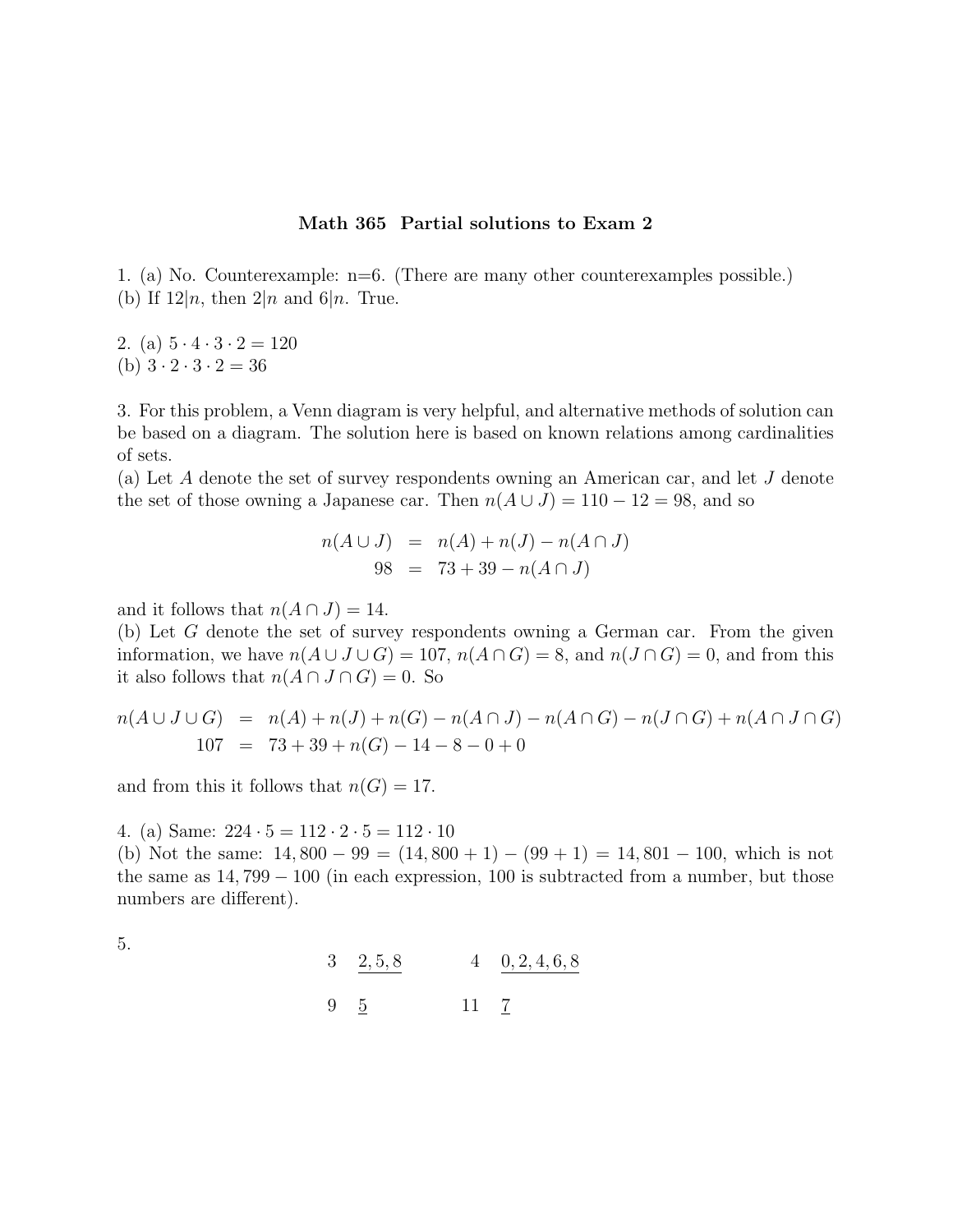## Math 365 Partial solutions to Exam 2

1. (a) No. Counterexample: n=6. (There are many other counterexamples possible.) (b) If  $12|n$ , then  $2|n$  and  $6|n$ . True.

2. (a)  $5 \cdot 4 \cdot 3 \cdot 2 = 120$ (b)  $3 \cdot 2 \cdot 3 \cdot 2 = 36$ 

3. For this problem, a Venn diagram is very helpful, and alternative methods of solution can be based on a diagram. The solution here is based on known relations among cardinalities of sets.

(a) Let A denote the set of survey respondents owning an American car, and let J denote the set of those owning a Japanese car. Then  $n(A \cup J) = 110 - 12 = 98$ , and so

$$
n(A \cup J) = n(A) + n(J) - n(A \cap J)
$$
  
98 = 73 + 39 - n(A \cap J)

and it follows that  $n(A \cap J) = 14$ .

(b) Let G denote the set of survey respondents owning a German car. From the given information, we have  $n(A \cup J \cup G) = 107$ ,  $n(A \cap G) = 8$ , and  $n(J \cap G) = 0$ , and from this it also follows that  $n(A \cap J \cap G) = 0$ . So

$$
n(A \cup J \cup G) = n(A) + n(J) + n(G) - n(A \cap J) - n(A \cap G) - n(J \cap G) + n(A \cap J \cap G)
$$
  
107 = 73 + 39 + n(G) - 14 - 8 - 0 + 0

and from this it follows that  $n(G) = 17$ .

4. (a) Same:  $224 \cdot 5 = 112 \cdot 2 \cdot 5 = 112 \cdot 10$ 

(b) Not the same:  $14,800 - 99 = (14,800 + 1) - (99 + 1) = 14,801 - 100$ , which is not the same as  $14,799 - 100$  (in each expression, 100 is subtracted from a number, but those numbers are different).

5.

| 3, 2, 5, 8 |      | $4\quad 0, 2, 4, 6, 8$ |
|------------|------|------------------------|
| 9 5        | 11 7 |                        |